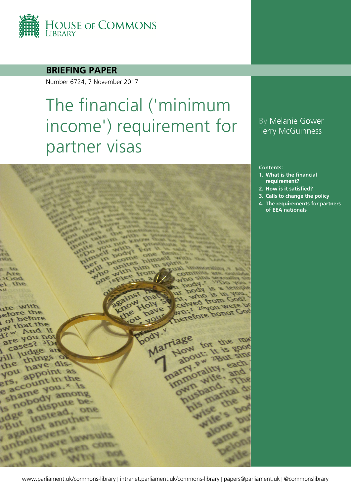

### **BRIEFING PAPER**

Number 6724, 7 November 2017

# The financial ('minimum income') requirement for partner visas



### By Melanie Gower Terry McGuinness

#### **Contents:**

- **1. [What is the financial](#page-4-0)  [requirement?](#page-4-0)**
- **2. [How is it satisfied?](#page-9-0)**
- **3. [Calls to change the policy](#page-18-0)**
- **4. [The requirements for partners](#page-23-0)  [of EEA nationals](#page-23-0)**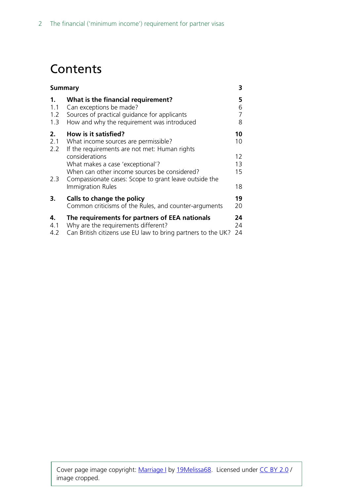## **Contents**

| <b>Summary</b>          |                                                                                                                                                                                                                                                                                                   | 3                                |
|-------------------------|---------------------------------------------------------------------------------------------------------------------------------------------------------------------------------------------------------------------------------------------------------------------------------------------------|----------------------------------|
| 1.<br>1.1<br>1.2<br>1.3 | What is the financial requirement?<br>Can exceptions be made?<br>Sources of practical guidance for applicants<br>How and why the requirement was introduced                                                                                                                                       | 5.<br>6<br>7<br>8                |
| 2.<br>2.1<br>2.2<br>2.3 | How is it satisfied?<br>What income sources are permissible?<br>If the requirements are not met: Human rights<br>considerations<br>What makes a case 'exceptional'?<br>When can other income sources be considered?<br>Compassionate cases: Scope to grant leave outside the<br>Immigration Rules | 10<br>10<br>12<br>13<br>15<br>18 |
| 3.                      | Calls to change the policy<br>Common criticisms of the Rules, and counter-arguments                                                                                                                                                                                                               | 19<br>20                         |
| 4.<br>4.1<br>4.2        | The requirements for partners of EEA nationals<br>Why are the requirements different?<br>Can British citizens use EU law to bring partners to the UK?                                                                                                                                             | 24<br>24<br>24                   |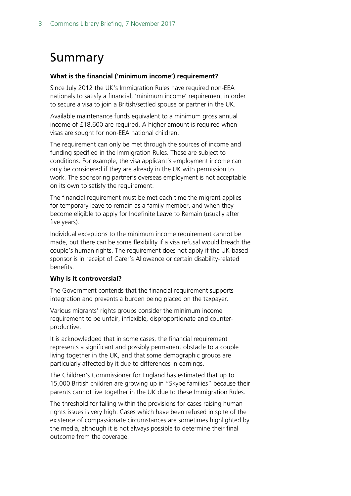## <span id="page-2-0"></span>Summary

#### **What is the financial ('minimum income') requirement?**

Since July 2012 the UK's Immigration Rules have required non-EEA nationals to satisfy a financial, 'minimum income' requirement in order to secure a visa to join a British/settled spouse or partner in the UK.

Available maintenance funds equivalent to a minimum gross annual income of £18,600 are required. A higher amount is required when visas are sought for non-EEA national children.

The requirement can only be met through the sources of income and funding specified in the Immigration Rules. These are subject to conditions. For example, the visa applicant's employment income can only be considered if they are already in the UK with permission to work. The sponsoring partner's overseas employment is not acceptable on its own to satisfy the requirement.

The financial requirement must be met each time the migrant applies for temporary leave to remain as a family member, and when they become eligible to apply for Indefinite Leave to Remain (usually after five years).

Individual exceptions to the minimum income requirement cannot be made, but there can be some flexibility if a visa refusal would breach the couple's human rights. The requirement does not apply if the UK-based sponsor is in receipt of Carer's Allowance or certain disability-related benefits.

#### **Why is it controversial?**

The Government contends that the financial requirement supports integration and prevents a burden being placed on the taxpayer.

Various migrants' rights groups consider the minimum income requirement to be unfair, inflexible, disproportionate and counterproductive.

It is acknowledged that in some cases, the financial requirement represents a significant and possibly permanent obstacle to a couple living together in the UK, and that some demographic groups are particularly affected by it due to differences in earnings.

The Children's Commissioner for England has estimated that up to 15,000 British children are growing up in "Skype families" because their parents cannot live together in the UK due to these Immigration Rules.

The threshold for falling within the provisions for cases raising human rights issues is very high. Cases which have been refused in spite of the existence of compassionate circumstances are sometimes highlighted by the media, although it is not always possible to determine their final outcome from the coverage.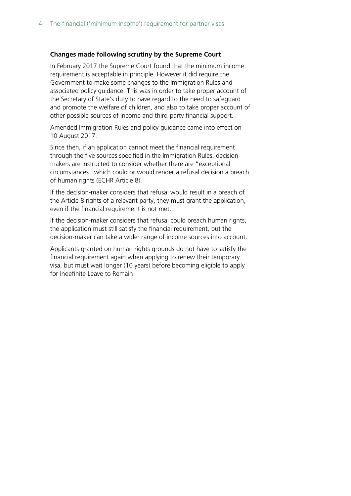#### **Changes made following scrutiny by the Supreme Court**

In February 2017 the Supreme Court found that the minimum income requirement is acceptable in principle. However it did require the Government to make some changes to the Immigration Rules and associated policy guidance. This was in order to take proper account of the Secretary of State's duty to have regard to the need to safeguard and promote the welfare of children, and also to take proper account of other possible sources of income and third-party financial support.

Amended Immigration Rules and policy guidance came into effect on 10 August 2017.

Since then, if an application cannot meet the financial requirement through the five sources specified in the Immigration Rules, decisionmakers are instructed to consider whether there are "exceptional circumstances" which could or would render a refusal decision a breach of human rights (ECHR Article 8).

If the decision-maker considers that refusal would result in a breach of the Article 8 rights of a relevant party, they must grant the application, even if the financial requirement is not met.

If the decision-maker considers that refusal could breach human rights, the application must still satisfy the financial requirement, but the decision-maker can take a wider range of income sources into account.

Applicants granted on human rights grounds do not have to satisfy the financial requirement again when applying to renew their temporary visa, but must wait longer (10 years) before becoming eligible to apply for Indefinite Leave to Remain.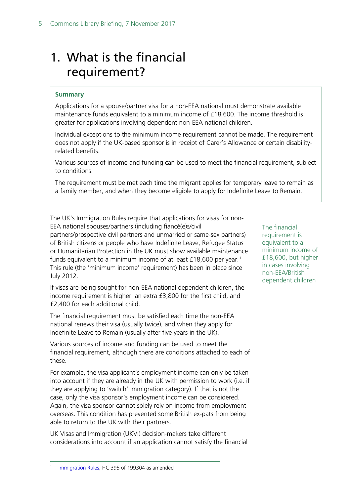## <span id="page-4-0"></span>1. What is the financial requirement?

#### **Summary**

Applications for a spouse/partner visa for a non-EEA national must demonstrate available maintenance funds equivalent to a minimum income of £18,600. The income threshold is greater for applications involving dependent non-EEA national children.

Individual exceptions to the minimum income requirement cannot be made. The requirement does not apply if the UK-based sponsor is in receipt of Carer's Allowance or certain disabilityrelated benefits.

Various sources of income and funding can be used to meet the financial requirement, subject to conditions.

The requirement must be met each time the migrant applies for temporary leave to remain as a family member, and when they become eligible to apply for Indefinite Leave to Remain.

The UK's Immigration Rules require that applications for visas for non-EEA national spouses/partners (including fiancé(e)s/civil partners/prospective civil partners and unmarried or same-sex partners) of British citizens or people who have Indefinite Leave, Refugee Status or Humanitarian Protection in the UK must show available maintenance funds equivalent to a minimum income of at least  $£18,600$  $£18,600$  $£18,600$  per year.<sup>1</sup> This rule (the 'minimum income' requirement) has been in place since July 2012.

If visas are being sought for non-EEA national dependent children, the income requirement is higher: an extra £3,800 for the first child, and £2,400 for each additional child.

The financial requirement must be satisfied each time the non-EEA national renews their visa (usually twice), and when they apply for Indefinite Leave to Remain (usually after five years in the UK).

Various sources of income and funding can be used to meet the financial requirement, although there are conditions attached to each of these.

For example, the visa applicant's employment income can only be taken into account if they are already in the UK with permission to work (i.e. if they are applying to 'switch' immigration category). If that is not the case, only the visa sponsor's employment income can be considered. Again, the visa sponsor cannot solely rely on income from employment overseas. This condition has prevented some British ex-pats from being able to return to the UK with their partners.

UK Visas and Immigration (UKVI) decision-makers take different considerations into account if an application cannot satisfy the financial The financial requirement is equivalent to a minimum income of £18,600, but higher in cases involving non-EEA/British dependent children

<span id="page-4-1"></span> <sup>1</sup> [Immigration Rules,](https://www.gov.uk/guidance/immigration-rules/immigration-rules-index) HC 395 of 199304 as amended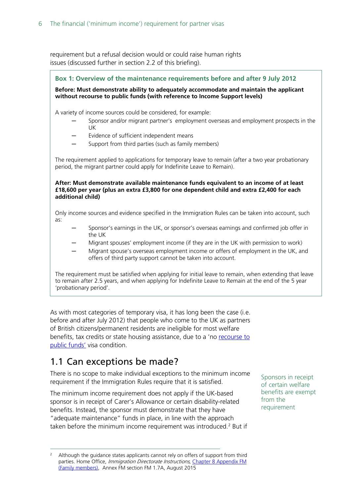requirement but a refusal decision would or could raise human rights issues (discussed further in section 2.2 of this briefing).

**Box 1: Overview of the maintenance requirements before and after 9 July 2012**

**Before: Must demonstrate ability to adequately accommodate and maintain the applicant without recourse to public funds (with reference to Income Support levels)**

A variety of income sources could be considered, for example:

- Sponsor and/or migrant partner's employment overseas and employment prospects in the UK
- Evidence of sufficient independent means
- Support from third parties (such as family members)

The requirement applied to applications for temporary leave to remain (after a two year probationary period, the migrant partner could apply for Indefinite Leave to Remain).

**After: Must demonstrate available maintenance funds equivalent to an income of at least £18,600 per year (plus an extra £3,800 for one dependent child and extra £2,400 for each additional child)**

Only income sources and evidence specified in the Immigration Rules can be taken into account, such as:

- Sponsor's earnings in the UK, or sponsor's overseas earnings and confirmed job offer in the UK
- Migrant spouses' employment income (if they are in the UK with permission to work)
- Migrant spouse's overseas employment income or offers of employment in the UK, and offers of third party support cannot be taken into account.

The requirement must be satisfied when applying for initial leave to remain, when extending that leave to remain after 2.5 years, and when applying for Indefinite Leave to Remain at the end of the 5 year 'probationary period'.

As with most categories of temporary visa, it has long been the case (i.e. before and after July 2012) that people who come to the UK as partners of British citizens/permanent residents are ineligible for most welfare benefits, tax credits or state housing assistance, due to a 'no [recourse to](https://www.gov.uk/government/publications/public-funds--2/public-funds)  [public funds'](https://www.gov.uk/government/publications/public-funds--2/public-funds) visa condition.

## <span id="page-5-0"></span>1.1 Can exceptions be made?

There is no scope to make individual exceptions to the minimum income requirement if the Immigration Rules require that it is satisfied.

The minimum income requirement does not apply if the UK-based sponsor is in receipt of Carer's Allowance or certain disability-related benefits. Instead, the sponsor must demonstrate that they have "adequate maintenance" funds in place, in line with the approach taken before the minimum income requirement was introduced.<sup>[2](#page-5-1)</sup> But if Sponsors in receipt of certain welfare benefits are exempt from the requirement

<span id="page-5-1"></span> <sup>2</sup> Although the guidance states applicants cannot rely on offers of support from third parties. Home Office, *Immigration Directorate Instructions*, Chapter 8 Appendix FM [\(Family members\),](https://www.gov.uk/government/publications/chapter-8-appendix-fm-family-members) Annex FM section FM 1.7A, August 2015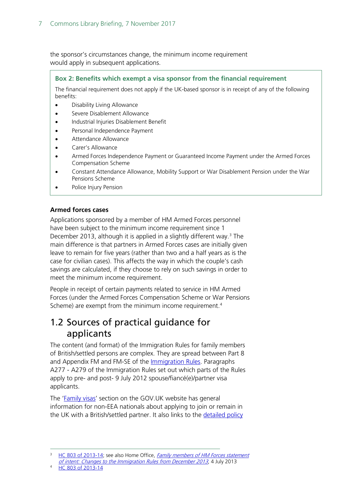the sponsor's circumstances change, the minimum income requirement would apply in subsequent applications.

#### **Box 2: Benefits which exempt a visa sponsor from the financial requirement**

The financial requirement does not apply if the UK-based sponsor is in receipt of any of the following benefits:

- Disability Living Allowance
- Severe Disablement Allowance
- Industrial Injuries Disablement Benefit
- Personal Independence Payment
- Attendance Allowance
- Carer's Allowance
- Armed Forces Independence Payment or Guaranteed Income Payment under the Armed Forces Compensation Scheme
- Constant Attendance Allowance, Mobility Support or War Disablement Pension under the War Pensions Scheme
- Police Injury Pension

#### **Armed forces cases**

Applications sponsored by a member of HM Armed Forces personnel have been subject to the minimum income requirement since 1 December 2013, although it is applied in a slightly different way. [3](#page-6-1) The main difference is that partners in Armed Forces cases are initially given leave to remain for five years (rather than two and a half years as is the case for civilian cases). This affects the way in which the couple's cash savings are calculated, if they choose to rely on such savings in order to meet the minimum income requirement.

People in receipt of certain payments related to service in HM Armed Forces (under the Armed Forces Compensation Scheme or War Pensions Scheme) are exempt from the minimum income requirement.<sup>4</sup>

## <span id="page-6-0"></span>1.2 Sources of practical guidance for applicants

The content (and format) of the Immigration Rules for family members of British/settled persons are complex. They are spread between Part 8 and Appendix FM and FM-SE of the [Immigration Rules.](https://www.gov.uk/government/collections/immigration-rules) Paragraphs A277 - A279 of the Immigration Rules set out which parts of the Rules apply to pre- and post- 9 July 2012 spouse/fiancé(e)/partner visa applicants.

The '*Family visas'* section on the GOV.UK website has general information for non-EEA nationals about applying to join or remain in the UK with a British/settled partner. It also links to the detailed policy

<span id="page-6-2"></span><span id="page-6-1"></span>[HC 803 of 2013-14;](http://www.ukba.homeoffice.gov.uk/sitecontent/documents/policyandlaw/statementsofchanges/) see also Home Office, Family members of HM Forces statement [of intent: Changes to the Immigration Rules from December 2013](https://www.gov.uk/government/publications/armed-forces-family-migration-statement-of-intent), 4 July 2013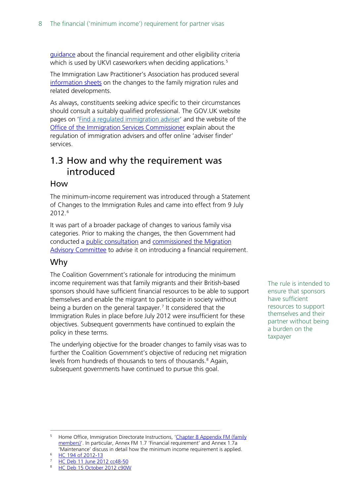[guidance](https://www.gov.uk/topic/immigration-operational-guidance/immigration-directorate-instructions) about the financial requirement and other eligibility criteria which is used by UKVI caseworkers when deciding applications.<sup>[5](#page-7-1)</sup>

The Immigration Law Practitioner's Association has produced several [information sheets](http://www.ilpa.org.uk/pages/ilpa-information-service-further-information-sheets.html) on the changes to the family migration rules and related developments.

As always, constituents seeking advice specific to their circumstances should consult a suitably qualified professional. The GOV.UK website pages on ['Find a regulated immigration adviser'](https://www.gov.uk/find-an-immigration-adviser/search-for-an-adviser) and the website of the [Office of the Immigration Services Commissioner](http://www.oisc.gov.uk/) explain about the regulation of immigration advisers and offer online 'adviser finder' services.

## <span id="page-7-0"></span>1.3 How and why the requirement was introduced

#### How

The minimum-income requirement was introduced through a Statement of Changes to the Immigration Rules and came into effect from 9 July 2012.[6](#page-7-2)

It was part of a broader package of changes to various family visa categories. Prior to making the changes, the then Government had conducted a [public consultation](https://www.gov.uk/government/consultations/family-migration-consultation) and commissioned the Migration [Advisory Committee](https://www.gov.uk/government/publications/migration-advisory-committee-income-for-family-migration-route) to advise it on introducing a financial requirement.

#### Why

The Coalition Government's rationale for introducing the minimum income requirement was that family migrants and their British-based sponsors should have sufficient financial resources to be able to support themselves and enable the migrant to participate in society without being a burden on the general taxpayer.<sup>[7](#page-7-3)</sup> It considered that the Immigration Rules in place before July 2012 were insufficient for these objectives. Subsequent governments have continued to explain the policy in these terms.

The underlying objective for the broader changes to family visas was to further the Coalition Government's objective of reducing net migration levels from hundreds of thousands to tens of thousands.<sup>[8](#page-7-4)</sup> Again, subsequent governments have continued to pursue this goal.

The rule is intended to ensure that sponsors have sufficient resources to support themselves and their partner without being a burden on the taxpayer

<span id="page-7-1"></span>Home Office, Immigration Directorate Instructions, 'Chapter 8 Appendix FM (family [members\)'](https://www.gov.uk/government/publications/chapter-8-appendix-fm-family-members). In particular, Annex FM 1.7 'Financial requirement' and Annex 1.7a 'Maintenance' discuss in detail how the minimum income requirement is applied. 6 [HC 194 of 2012-13](https://www.gov.uk/government/publications/statement-of-changes-to-the-immigration-rules-hc194-june-2012)

<span id="page-7-4"></span><span id="page-7-3"></span><span id="page-7-2"></span> $\frac{7}{8}$  [HC Deb 11 June 2012 cc48-50](http://www.publications.parliament.uk/pa/cm201213/cmhansrd/cm120611/debtext/120611-0002.htm#1206117000003)

<sup>8</sup> [HC Deb 15 October 2012 c90W](http://www.publications.parliament.uk/pa/cm201213/cmhansrd/cm121015/text/121015w0004.htm#12101610000370)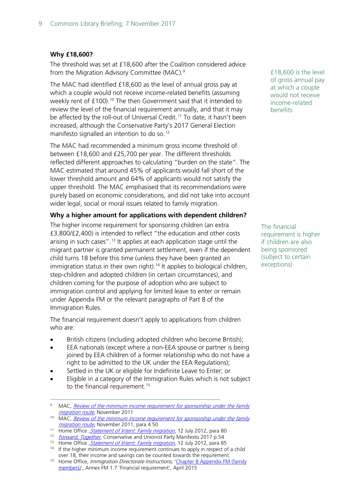#### **Why £18,600?**

The threshold was set at £18,600 after the Coalition considered advice from the Migration Advisory Committee (MAC).[9](#page-8-0)

The MAC had identified £18,600 as the level of annual gross pay at which a couple would not receive income-related benefits (assuming weekly rent of £100).<sup>10</sup> The then Government said that it intended to review the level of the financial requirement annually, and that it may be affected by the roll-out of Universal Credit.<sup>[11](#page-8-2)</sup> To date, it hasn't been increased, although the Conservative Party's 2017 General Election manifesto signalled an intention to do so.<sup>[12](#page-8-3)</sup>

The MAC had recommended a minimum gross income threshold of between £18,600 and £25,700 per year. The different thresholds reflected different approaches to calculating "burden on the state". The MAC estimated that around 45% of applicants would fall short of the lower threshold amount and 64% of applicants would not satisfy the upper threshold. The MAC emphasised that its recommendations were purely based on economic considerations, and did not take into account wider legal, social or moral issues related to family migration.

#### **Why a higher amount for applications with dependent children?**

The higher income requirement for sponsoring children (an extra £3,800/£2,400) is intended to reflect "the education and other costs arising in such cases".<sup>[13](#page-8-4)</sup> It applies at each application stage until the migrant partner is granted permanent settlement, even if the dependent child turns 18 before this time (unless they have been granted an immigration status in their own right).<sup>[14](#page-8-5)</sup> It applies to biological children, step-children and adopted children (in certain circumstances), and children coming for the purpose of adoption who are subject to immigration control and applying for limited leave to enter or remain under Appendix FM or the relevant paragraphs of Part 8 of the Immigration Rules.

The financial requirement doesn't apply to applications from children who are:

- British citizens (including adopted children who become British);
- EEA nationals (except where a non-EEA spouse or partner is being joined by EEA children of a former relationship who do not have a right to be admitted to the UK under the EEA Regulations);
- Settled in the UK or eligible for Indefinite Leave to Enter; or
- Eligible in a category of the Immigration Rules which is not subject to the financial requirement.<sup>[15](#page-8-6)</sup>

<span id="page-8-3"></span><sup>12</sup> *[Forward, Together](https://s3.eu-west-2.amazonaws.com/manifesto2017/Manifesto2017.pdf)*, Conservative and Unionist Party Manifesto 2017 p.54

£18,600 is the level of gross annual pay at which a couple would not receive income-related benefits

The financial requirement is higher if children are also being sponsored (subject to certain exceptions)

<span id="page-8-0"></span><sup>&</sup>lt;sup>9</sup> MAC, *Review of the minimum income requirement for sponsorship under the family* [migration route](https://www.gov.uk/government/publications/migration-advisory-committee-income-for-family-migration-route), November 2011

<span id="page-8-1"></span><sup>&</sup>lt;sup>10</sup> MAC, Review of the minimum income requirement for sponsorship under the family [migration route](https://www.gov.uk/government/publications/migration-advisory-committee-income-for-family-migration-route), November 2011, para 4.50

<span id="page-8-2"></span><sup>&</sup>lt;sup>11</sup> Home Office , *[Statement of Intent: Family migration](http://www.ukba.homeoffice.gov.uk/sitecontent/documents/news/soi-fam-mig.pdf)*, 12 July 2012, para 80

<span id="page-8-4"></span><sup>&</sup>lt;sup>13</sup> Home Office *, [Statement of Intent: Family migration](http://www.ukba.homeoffice.gov.uk/sitecontent/documents/news/soi-fam-mig.pdf)*, 12 July 2012, para 85

<span id="page-8-5"></span><sup>&</sup>lt;sup>14</sup> If the higher minimum income requirement continues to apply in respect of a child over 18, their income and savings can be counted towards the requirement.

<span id="page-8-6"></span><sup>&</sup>lt;sup>15</sup> Home Office, *Immigration Directorate Instructions*, 'Chapter 8 Appendix FM (family [members\)'](https://www.gov.uk/government/publications/chapter-8-appendix-fm-family-members), Annex FM 1.7 'Financial requirement', April 2015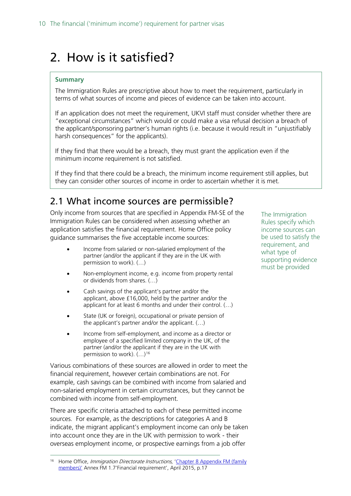## <span id="page-9-0"></span>2. How is it satisfied?

#### **Summary**

The Immigration Rules are prescriptive about how to meet the requirement, particularly in terms of what sources of income and pieces of evidence can be taken into account.

If an application does not meet the requirement, UKVI staff must consider whether there are "exceptional circumstances" which would or could make a visa refusal decision a breach of the applicant/sponsoring partner's human rights (i.e. because it would result in "unjustifiably harsh consequences" for the applicants).

If they find that there would be a breach, they must grant the application even if the minimum income requirement is not satisfied.

If they find that there could be a breach, the minimum income requirement still applies, but they can consider other sources of income in order to ascertain whether it is met.

## <span id="page-9-1"></span>2.1 What income sources are permissible?

Only income from sources that are specified in Appendix FM-SE of the Immigration Rules can be considered when assessing whether an application satisfies the financial requirement. Home Office policy guidance summarises the five acceptable income sources:

- Income from salaried or non-salaried employment of the partner (and/or the applicant if they are in the UK with permission to work). (…)
- Non-employment income, e.g. income from property rental or dividends from shares. (…)
- Cash savings of the applicant's partner and/or the applicant, above £16,000, held by the partner and/or the applicant for at least 6 months and under their control. (…)
- State (UK or foreign), occupational or private pension of the applicant's partner and/or the applicant. (…)
- Income from self-employment, and income as a director or employee of a specified limited company in the UK, of the partner (and/or the applicant if they are in the UK with permission to work).  $(...)^{16}$  $(...)^{16}$  $(...)^{16}$

Various combinations of these sources are allowed in order to meet the financial requirement, however certain combinations are not. For example, cash savings can be combined with income from salaried and non-salaried employment in certain circumstances, but they cannot be combined with income from self-employment.

There are specific criteria attached to each of these permitted income sources. For example, as the descriptions for categories A and B indicate, the migrant applicant's employment income can only be taken into account once they are in the UK with permission to work - their overseas employment income, or prospective earnings from a job offer

The Immigration Rules specify which income sources can be used to satisfy the requirement, and what type of supporting evidence must be provided

<span id="page-9-2"></span>Home Office, *Immigration Directorate Instructions*, 'Chapter 8 Appendix FM (family [members\)'](https://www.gov.uk/government/uploads/system/uploads/attachment_data/file/636618/Appendix_FM_1_7_Financial_Requirement_Final.pdf) Annex FM 1.7'Financial requirement', April 2015, p.17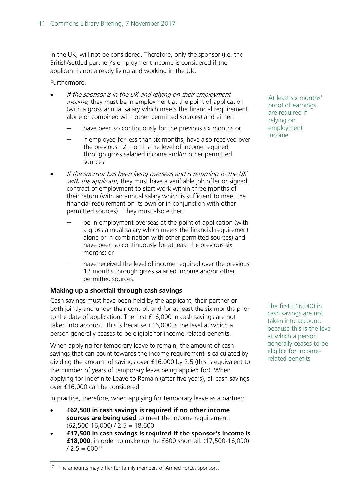in the UK, will not be considered. Therefore, only the sponsor (i.e. the British/settled partner)'s employment income is considered if the applicant is not already living and working in the UK.

Furthermore,

- If the sponsor is in the UK and relying on their employment income, they must be in employment at the point of application (with a gross annual salary which meets the financial requirement alone or combined with other permitted sources) and either:
	- have been so continuously for the previous six months or
	- if employed for less than six months, have also received over the previous 12 months the level of income required through gross salaried income and/or other permitted sources.
- If the sponsor has been living overseas and is returning to the UK with the applicant, they must have a verifiable job offer or signed contract of employment to start work within three months of their return (with an annual salary which is sufficient to meet the financial requirement on its own or in conjunction with other permitted sources). They must also either:
	- be in employment overseas at the point of application (with a gross annual salary which meets the financial requirement alone or in combination with other permitted sources) and have been so continuously for at least the previous six months; or
	- have received the level of income required over the previous 12 months through gross salaried income and/or other permitted sources.

#### **Making up a shortfall through cash savings**

Cash savings must have been held by the applicant, their partner or both jointly and under their control, and for at least the six months prior to the date of application. The first £16,000 in cash savings are not taken into account. This is because £16,000 is the level at which a person generally ceases to be eligible for income-related benefits.

When applying for temporary leave to remain, the amount of cash savings that can count towards the income requirement is calculated by dividing the amount of savings over £16,000 by 2.5 (this is equivalent to the number of years of temporary leave being applied for). When applying for Indefinite Leave to Remain (after five years), all cash savings over £16,000 can be considered.

In practice, therefore, when applying for temporary leave as a partner:

- **£62,500 in cash savings is required if no other income sources are being used** to meet the income requirement:  $(62,500-16,000) / 2.5 = 18,600$
- **£17,500 in cash savings is required if the sponsor's income is £18,000**, in order to make up the £600 shortfall: (17,500-16,000)  $/ 2.5 = 600^{17}$

At least six months' proof of earnings are required if relying on employment income

The first £16,000 in cash savings are not taken into account, because this is the level at which a person generally ceases to be eligible for incomerelated benefits

<span id="page-10-0"></span><sup>&</sup>lt;sup>17</sup> The amounts may differ for family members of Armed Forces sponsors.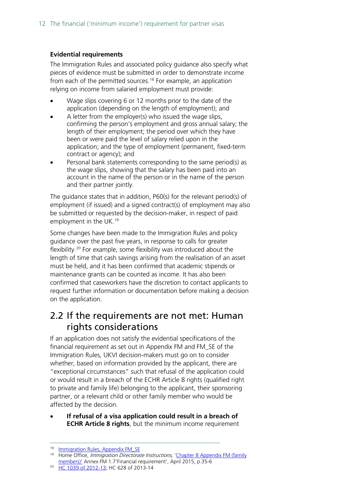#### **Evidential requirements**

The Immigration Rules and associated policy guidance also specify what pieces of evidence must be submitted in order to demonstrate income from each of the permitted sources.<sup>[18](#page-11-1)</sup> For example, an application relying on income from salaried employment must provide:

- Wage slips covering 6 or 12 months prior to the date of the application (depending on the length of employment); and
- A letter from the employer(s) who issued the wage slips, confirming the person's employment and gross annual salary; the length of their employment; the period over which they have been or were paid the level of salary relied upon in the application; and the type of employment (permanent, fixed-term contract or agency); and
- Personal bank statements corresponding to the same period(s) as the wage slips, showing that the salary has been paid into an account in the name of the person or in the name of the person and their partner jointly.

The guidance states that in addition, P60(s) for the relevant period(s) of employment (if issued) and a signed contract(s) of employment may also be submitted or requested by the decision-maker, in respect of paid employment in the UK.<sup>19</sup>

Some changes have been made to the Immigration Rules and policy guidance over the past five years, in response to calls for greater flexibility.[20](#page-11-3) For example, some flexibility was introduced about the length of time that cash savings arising from the realisation of an asset must be held, and it has been confirmed that academic stipends or maintenance grants can be counted as income. It has also been confirmed that caseworkers have the discretion to contact applicants to request further information or documentation before making a decision on the application.

## <span id="page-11-0"></span>2.2 If the requirements are not met: Human rights considerations

If an application does not satisfy the evidential specifications of the financial requirement as set out in Appendix FM and FM\_SE of the Immigration Rules, UKVI decision-makers must go on to consider whether, based on information provided by the applicant, there are "exceptional circumstances" such that refusal of the application could or would result in a breach of the ECHR Article 8 rights (qualified right to private and family life) belonging to the applicant, their sponsoring partner, or a relevant child or other family member who would be affected by the decision.

• **If refusal of a visa application could result in a breach of ECHR Article 8 rights**, but the minimum income requirement

<span id="page-11-1"></span><sup>18</sup> [Immigration Rules, Appendix FM\\_SE](https://www.gov.uk/guidance/immigration-rules/immigration-rules-appendix-fm-se-family-members-specified-evidence)

<span id="page-11-2"></span><sup>&</sup>lt;sup>19</sup> Home Office, *Immigration Directorate Instructions*, 'Chapter 8 Appendix FM (family [members\)'](https://www.gov.uk/government/uploads/system/uploads/attachment_data/file/636618/Appendix_FM_1_7_Financial_Requirement_Final.pdf) Annex FM 1.7'Financial requirement', April 2015, p.35-6

<span id="page-11-3"></span><sup>&</sup>lt;sup>20</sup> [HC 1039 of 2012-13;](http://www.ukba.homeoffice.gov.uk/sitecontent/documents/policyandlaw/statementsofchanges/) HC 628 of 2013-14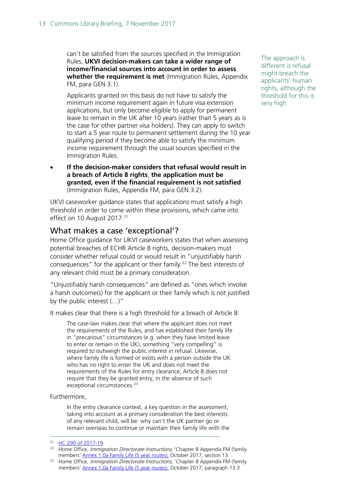can't be satisfied from the sources specified in the Immigration Rules, **UKVI decision-makers can take a wider range of income/financial sources into account in order to assess whether the requirement is met** (Immigration Rules, Appendix FM, para GEN 3.1).

Applicants granted on this basis do not have to satisfy the minimum income requirement again in future visa extension applications, but only become eligible to apply for permanent leave to remain in the UK after 10 years (rather than 5 years as is the case for other partner visa holders). They can apply to switch to start a 5 year route to permanent settlement during the 10 year qualifying period if they become able to satisfy the minimum income requirement through the usual sources specified in the Immigration Rules.

• **If the decision-maker considers that refusal would result in a breach of Article 8 rights**, **the application must be granted, even if the financial requirement is not satisfied**  (Immigration Rules, Appendix FM, para GEN 3.2).

UKVI caseworker guidance states that applications must satisfy a high threshold in order to come within these provisions, which came into effect on 10 August 2017. [21](#page-12-1)

#### <span id="page-12-0"></span>What makes a case 'exceptional'?

Home Office guidance for UKVI caseworkers states that when assessing potential breaches of ECHR Article 8 rights, decision-makers must consider whether refusal could or would result in "unjustifiably harsh consequences" for the applicant or their family.<sup>[22](#page-12-2)</sup> The best interests of any relevant child must be a primary consideration.

"Unjustifiably harsh consequences" are defined as "ones which involve a harsh outcome(s) for the applicant or their family which is not justified by the public interest (…)"

It makes clear that there is a high threshold for a breach of Article 8:

The case-law makes clear that where the applicant does not meet the requirements of the Rules, and has established their family life in "precarious" circumstances (e.g. when they have limited leave to enter or remain in the UK), something "very compelling" is required to outweigh the public interest in refusal. Likewise, where family life is formed or exists with a person outside the UK who has no right to enter the UK and does not meet the requirements of the Rules for entry clearance, Article 8 does not require that they be granted entry, in the absence of such exceptional circumstances.<sup>[23](#page-12-3)</sup>

Furthermore,

In the entry clearance context, a key question in the assessment, taking into account as a primary consideration the best interests of any relevant child, will be: why can't the UK partner go or remain overseas to continue or maintain their family life with the The approach is different is refusal might breach the applicants' human rights, although the threshold for this is very high

<span id="page-12-1"></span> <sup>21</sup> [HC 290 of 2017-19](https://www.gov.uk/government/publications/statement-of-changes-to-the-immigration-rules-hc290-20-july-2017)

<span id="page-12-2"></span><sup>&</sup>lt;sup>22</sup> Home Office, *Immigration Directorate Instructions*, 'Chapter 8 Appendix FM (family members[' Annex 1.0a Family Life \(5 year routes\),](https://www.gov.uk/government/uploads/system/uploads/attachment_data/file/653038/Appendix_FM_Section_1.0a_Family_Life_as_a_Partner_or_Parent_-_5-year_rou....pdf) October 2017, section 13

<span id="page-12-3"></span><sup>&</sup>lt;sup>23</sup> Home Office, *Immigration Directorate Instructions*, 'Chapter 8 Appendix FM (family members[' Annex 1.0a Family Life](https://www.gov.uk/government/uploads/system/uploads/attachment_data/file/653038/Appendix_FM_Section_1.0a_Family_Life_as_a_Partner_or_Parent_-_5-year_rou....pdf) (5 year routes), October 2017, paragraph 13.3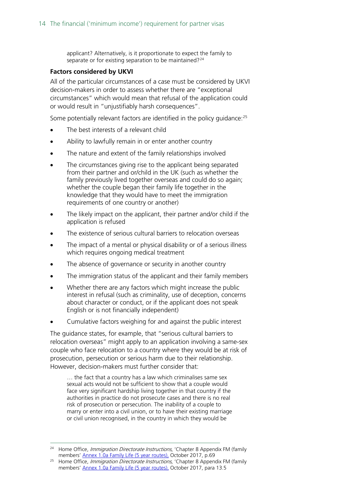applicant? Alternatively, is it proportionate to expect the family to separate or for existing separation to be maintained?<sup>[24](#page-13-0)</sup>

#### **Factors considered by UKVI**

All of the particular circumstances of a case must be considered by UKVI decision-makers in order to assess whether there are "exceptional circumstances" which would mean that refusal of the application could or would result in "unjustifiably harsh consequences".

Some potentially relevant factors are identified in the policy guidance: [25](#page-13-1)

- The best interests of a relevant child
- Ability to lawfully remain in or enter another country
- The nature and extent of the family relationships involved
- The circumstances giving rise to the applicant being separated from their partner and or/child in the UK (such as whether the family previously lived together overseas and could do so again; whether the couple began their family life together in the knowledge that they would have to meet the immigration requirements of one country or another)
- The likely impact on the applicant, their partner and/or child if the application is refused
- The existence of serious cultural barriers to relocation overseas
- The impact of a mental or physical disability or of a serious illness which requires ongoing medical treatment
- The absence of governance or security in another country
- The immigration status of the applicant and their family members
- Whether there are any factors which might increase the public interest in refusal (such as criminality, use of deception, concerns about character or conduct, or if the applicant does not speak English or is not financially independent)
- Cumulative factors weighing for and against the public interest

The guidance states, for example, that "serious cultural barriers to relocation overseas" might apply to an application involving a same-sex couple who face relocation to a country where they would be at risk of prosecution, persecution or serious harm due to their relationship. However, decision-makers must further consider that:

… the fact that a country has a law which criminalises same sex sexual acts would not be sufficient to show that a couple would face very significant hardship living together in that country if the authorities in practice do not prosecute cases and there is no real risk of prosecution or persecution. The inability of a couple to marry or enter into a civil union, or to have their existing marriage or civil union recognised, in the country in which they would be

<span id="page-13-0"></span><sup>&</sup>lt;sup>24</sup> Home Office, *Immigration Directorate Instructions*, 'Chapter 8 Appendix FM (family members[' Annex 1.0a Family Life \(5 year routes\),](https://www.gov.uk/government/uploads/system/uploads/attachment_data/file/653038/Appendix_FM_Section_1.0a_Family_Life_as_a_Partner_or_Parent_-_5-year_rou....pdf) October 2017, p.69

<span id="page-13-1"></span><sup>&</sup>lt;sup>25</sup> Home Office, *Immigration Directorate Instructions*, 'Chapter 8 Appendix FM (family members[' Annex 1.0a Family Life \(5 year routes\),](https://www.gov.uk/government/uploads/system/uploads/attachment_data/file/653038/Appendix_FM_Section_1.0a_Family_Life_as_a_Partner_or_Parent_-_5-year_rou....pdf) October 2017, para 13.5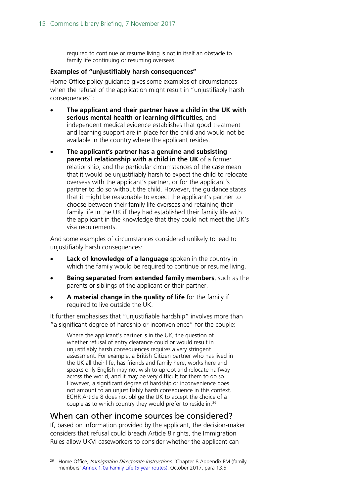required to continue or resume living is not in itself an obstacle to family life continuing or resuming overseas.

#### **Examples of "unjustifiably harsh consequences"**

Home Office policy guidance gives some examples of circumstances when the refusal of the application might result in "unjustifiably harsh consequences":

- **The applicant and their partner have a child in the UK with serious mental health or learning difficulties,** and independent medical evidence establishes that good treatment and learning support are in place for the child and would not be available in the country where the applicant resides.
- **The applicant's partner has a genuine and subsisting parental relationship with a child in the UK** of a former relationship, and the particular circumstances of the case mean that it would be unjustifiably harsh to expect the child to relocate overseas with the applicant's partner, or for the applicant's partner to do so without the child. However, the guidance states that it might be reasonable to expect the applicant's partner to choose between their family life overseas and retaining their family life in the UK if they had established their family life with the applicant in the knowledge that they could not meet the UK's visa requirements.

And some examples of circumstances considered unlikely to lead to unjustifiably harsh consequences:

- **Lack of knowledge of a language** spoken in the country in which the family would be required to continue or resume living.
- **Being separated from extended family members**, such as the parents or siblings of the applicant or their partner.
- **A material change in the quality of life** for the family if required to live outside the UK.

It further emphasises that "unjustifiable hardship" involves more than "a significant degree of hardship or inconvenience" for the couple:

Where the applicant's partner is in the UK, the question of whether refusal of entry clearance could or would result in unjustifiably harsh consequences requires a very stringent assessment. For example, a British Citizen partner who has lived in the UK all their life, has friends and family here, works here and speaks only English may not wish to uproot and relocate halfway across the world, and it may be very difficult for them to do so. However, a significant degree of hardship or inconvenience does not amount to an unjustifiably harsh consequence in this context. ECHR Article 8 does not oblige the UK to accept the choice of a couple as to which country they would prefer to reside in.[26](#page-14-1)

#### <span id="page-14-0"></span>When can other income sources be considered?

If, based on information provided by the applicant, the decision-maker considers that refusal could breach Article 8 rights, the Immigration Rules allow UKVI caseworkers to consider whether the applicant can

<span id="page-14-1"></span><sup>&</sup>lt;sup>26</sup> Home Office, *Immigration Directorate Instructions*, 'Chapter 8 Appendix FM (family members[' Annex 1.0a Family Life \(5 year routes\),](https://www.gov.uk/government/uploads/system/uploads/attachment_data/file/653038/Appendix_FM_Section_1.0a_Family_Life_as_a_Partner_or_Parent_-_5-year_rou....pdf) October 2017, para 13.5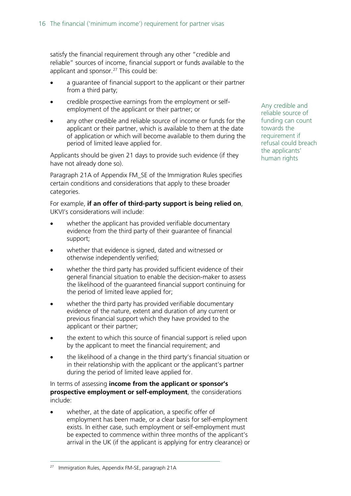satisfy the financial requirement through any other "credible and reliable" sources of income, financial support or funds available to the applicant and sponsor.<sup>[27](#page-15-0)</sup> This could be:

- a quarantee of financial support to the applicant or their partner from a third party;
- credible prospective earnings from the employment or selfemployment of the applicant or their partner; or
- any other credible and reliable source of income or funds for the applicant or their partner, which is available to them at the date of application or which will become available to them during the period of limited leave applied for.

Applicants should be given 21 days to provide such evidence (if they have not already done so).

Paragraph 21A of Appendix FM\_SE of the Immigration Rules specifies certain conditions and considerations that apply to these broader categories.

For example, **if an offer of third-party support is being relied on**, UKVI's considerations will include:

- whether the applicant has provided verifiable documentary evidence from the third party of their guarantee of financial support;
- whether that evidence is signed, dated and witnessed or otherwise independently verified;
- whether the third party has provided sufficient evidence of their general financial situation to enable the decision-maker to assess the likelihood of the guaranteed financial support continuing for the period of limited leave applied for;
- whether the third party has provided verifiable documentary evidence of the nature, extent and duration of any current or previous financial support which they have provided to the applicant or their partner;
- the extent to which this source of financial support is relied upon by the applicant to meet the financial requirement; and
- the likelihood of a change in the third party's financial situation or in their relationship with the applicant or the applicant's partner during the period of limited leave applied for.

In terms of assessing **income from the applicant or sponsor's prospective employment or self-employment**, the considerations include:

whether, at the date of application, a specific offer of employment has been made, or a clear basis for self-employment exists. In either case, such employment or self-employment must be expected to commence within three months of the applicant's arrival in the UK (if the applicant is applying for entry clearance) or Any credible and reliable source of funding can count towards the requirement if refusal could breach the applicants' human rights

<span id="page-15-0"></span><sup>&</sup>lt;sup>27</sup> Immigration Rules, Appendix FM-SE, paragraph 21A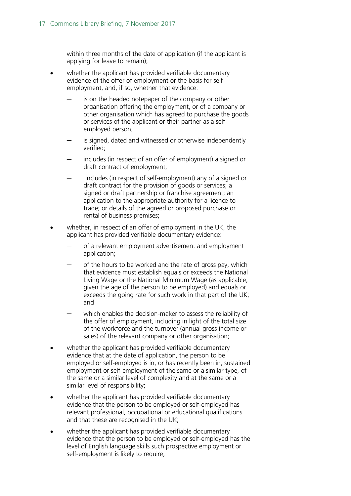within three months of the date of application (if the applicant is applying for leave to remain);

- whether the applicant has provided verifiable documentary evidence of the offer of employment or the basis for selfemployment, and, if so, whether that evidence:
	- is on the headed notepaper of the company or other organisation offering the employment, or of a company or other organisation which has agreed to purchase the goods or services of the applicant or their partner as a selfemployed person;
	- is signed, dated and witnessed or otherwise independently verified;
	- includes (in respect of an offer of employment) a signed or draft contract of employment;
	- includes (in respect of self-employment) any of a signed or draft contract for the provision of goods or services; a signed or draft partnership or franchise agreement; an application to the appropriate authority for a licence to trade; or details of the agreed or proposed purchase or rental of business premises;
- whether, in respect of an offer of employment in the UK, the applicant has provided verifiable documentary evidence:
	- of a relevant employment advertisement and employment application;
	- of the hours to be worked and the rate of gross pay, which that evidence must establish equals or exceeds the National Living Wage or the National Minimum Wage (as applicable, given the age of the person to be employed) and equals or exceeds the going rate for such work in that part of the UK; and
	- which enables the decision-maker to assess the reliability of the offer of employment, including in light of the total size of the workforce and the turnover (annual gross income or sales) of the relevant company or other organisation;
- whether the applicant has provided verifiable documentary evidence that at the date of application, the person to be employed or self-employed is in, or has recently been in, sustained employment or self-employment of the same or a similar type, of the same or a similar level of complexity and at the same or a similar level of responsibility;
- whether the applicant has provided verifiable documentary evidence that the person to be employed or self-employed has relevant professional, occupational or educational qualifications and that these are recognised in the UK;
- whether the applicant has provided verifiable documentary evidence that the person to be employed or self-employed has the level of English language skills such prospective employment or self-employment is likely to require;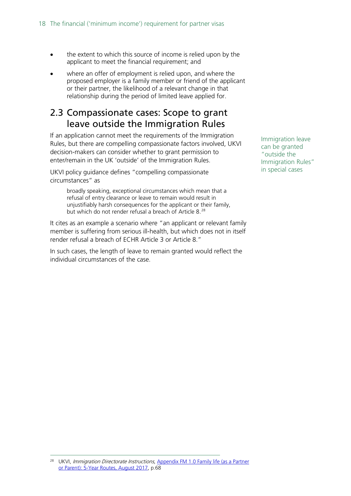- the extent to which this source of income is relied upon by the applicant to meet the financial requirement; and
- where an offer of employment is relied upon, and where the proposed employer is a family member or friend of the applicant or their partner, the likelihood of a relevant change in that relationship during the period of limited leave applied for.

## <span id="page-17-0"></span>2.3 Compassionate cases: Scope to grant leave outside the Immigration Rules

If an application cannot meet the requirements of the Immigration Rules, but there are compelling compassionate factors involved, UKVI decision-makers can consider whether to grant permission to enter/remain in the UK 'outside' of the Immigration Rules.

UKVI policy guidance defines "compelling compassionate circumstances" as

broadly speaking, exceptional circumstances which mean that a refusal of entry clearance or leave to remain would result in unjustifiably harsh consequences for the applicant or their family, but which do not render refusal a breach of Article 8.<sup>[28](#page-17-1)</sup>

It cites as an example a scenario where "an applicant or relevant family member is suffering from serious ill-health, but which does not in itself render refusal a breach of ECHR Article 3 or Article 8."

In such cases, the length of leave to remain granted would reflect the individual circumstances of the case.

Immigration leave can be granted "outside the Immigration Rules" in special cases

<span id="page-17-1"></span><sup>&</sup>lt;sup>28</sup> UKVI, *Immigration Directorate Instructions*, Appendix FM 1.0 Family life (as a Partner [or Parent\): 5-Year Routes, August 2017,](file://hpap03f/DIS/Shares/Publications/Standard%20Notes/Final%20-%20HAS/an%20applicant%20or%20relevant%20family%20member%20is%20suffering%20from%20serious%20ill-health,%20but%20which%20does%20not%20in%20itself%20render%20refusal%20a%20breach%20of%20ECHR%20Article%203%20or%20Article%208.) p.68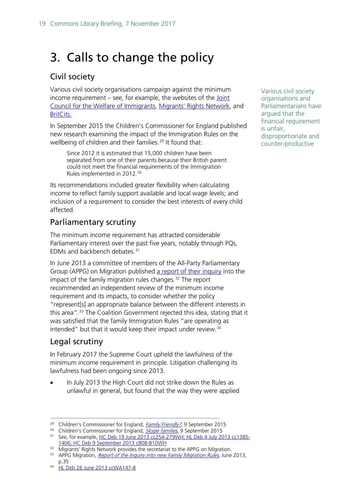## <span id="page-18-0"></span>3. Calls to change the policy

## Civil society

Various civil society organisations campaign against the minimum income requirement – see, for example, the websites of the [Joint](http://www.jcwi.org.uk/policy/united-love-divided-theresa-may#overlay-context=po...)  [Council for the Welfare of Immigrants,](http://www.jcwi.org.uk/policy/united-love-divided-theresa-may#overlay-context=po...) [Migrants' Rights Network,](http://www.migrantsrights.org.uk/blog/tags/family-migration) and [BritCits.](http://britcits.blogspot.co.uk/)

In September 2015 the Children's Commissioner for England published new research examining the impact of the Immigration Rules on the wellbeing of children and their families.<sup>[29](#page-18-1)</sup> It found that:

Since 2012 it is estimated that 15,000 children have been separated from one of their parents because their British parent could not meet the financial requirements of the Immigration Rules implemented in 2012.[30](#page-18-2)

Its recommendations included greater flexibility when calculating income to reflect family support available and local wage levels; and inclusion of a requirement to consider the best interests of every child affected.

## Parliamentary scrutiny

The minimum income requirement has attracted considerable Parliamentary interest over the past five years, notably through PQs, EDMs and backbench debates.[31](#page-18-3)

In June 2013 a committee of members of the All-Party Parliamentary Group (APPG) on Migration published [a report of their inquiry](http://www.appgmigration.org.uk/family-inquiry) into the impact of the family migration rules changes.<sup>[32](#page-18-4)</sup> The report recommended an independent review of the minimum income requirement and its impacts, to consider whether the policy "represent[s] an appropriate balance between the different interests in this area".[33](#page-18-5) The Coalition Government rejected this idea, stating that it was satisfied that the family Immigration Rules "are operating as intended" but that it would keep their impact under review.  $34$ 

## Legal scrutiny

In February 2017 the Supreme Court upheld the lawfulness of the minimum income requirement in principle. Litigation challenging its lawfulness had been ongoing since 2013.

In July 2013 the High Court did not strike down the Rules as unlawful in general, but found that the way they were applied Various civil society organisations and Parliamentarians have argued that the financial requirement is unfair, disproportionate and counter-productive

<span id="page-18-2"></span><span id="page-18-1"></span><sup>&</sup>lt;sup>29</sup> Children's Commissioner for England, **[Family Friendly?](https://www.childrenscommissioner.gov.uk/publication/family-friendly/)**, 9 September 2015

<sup>&</sup>lt;sup>30</sup> Children's Commissioner for England, **[Skype families](https://www.childrenscommissioner.gov.uk/publication/skype-families/)**, 9 September 2015

<span id="page-18-3"></span><sup>&</sup>lt;sup>31</sup> See, for example, [HC Deb 19 June 2013 cc254-279WH;](http://www.publications.parliament.uk/pa/cm201314/cmhansrd/cm130619/halltext/130619h0001.htm#13061971000001) [HL Deb 4 July 2013 cc1385-](http://www.publications.parliament.uk/pa/ld201314/ldhansrd/text/130704-0002.htm#13070446000145) [1406;](http://www.publications.parliament.uk/pa/ld201314/ldhansrd/text/130704-0002.htm#13070446000145) [HC Deb 9 September 2013 c808-810WH](http://www.publications.parliament.uk/pa/cm201314/cmhansrd/cm130909/debtext/130909-0004.htm#1309102000608)

<span id="page-18-4"></span><sup>&</sup>lt;sup>32</sup> Migrants' Rights Network provides the secretariat to the APPG on Migration.

<span id="page-18-5"></span><sup>&</sup>lt;sup>33</sup> APPG Migration, *[Report of the Inquiry into new Family Migration Rules](http://www.appgmigration.org.uk/sites/default/files/APPG_family_migration_inquiry_report-Jun-2013.pdf)*, June 2013, p.35

<span id="page-18-6"></span><sup>34</sup> [HL Deb 26 June 2013 ccWA147-8](http://www.publications.parliament.uk/pa/ld201314/ldhansrd/text/130626w0001.htm#13062680000480)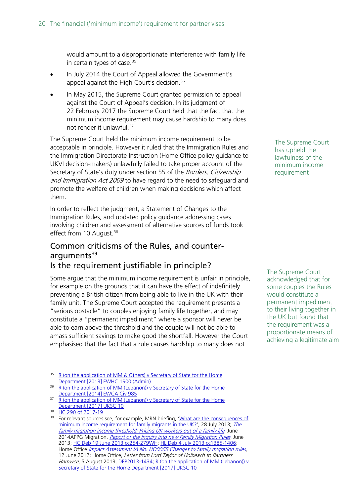would amount to a disproportionate interference with family life in certain types of case. $35$ 

- In July 2014 the Court of Appeal allowed the Government's appeal against the High Court's decision.<sup>36</sup>
- In May 2015, the Supreme Court granted permission to appeal against the Court of Appeal's decision. In its judgment of 22 February 2017 the Supreme Court held that the fact that the minimum income requirement may cause hardship to many does not render it unlawful.<sup>[37](#page-19-3)</sup>

The Supreme Court held the minimum income requirement to be acceptable in principle. However it ruled that the Immigration Rules and the Immigration Directorate Instruction (Home Office policy guidance to UKVI decision-makers) unlawfully failed to take proper account of the Secretary of State's duty under section 55 of the Borders, Citizenship and Immigration Act 2009 to have regard to the need to safeguard and promote the welfare of children when making decisions which affect them.

In order to reflect the judgment, a Statement of Changes to the Immigration Rules, and updated policy guidance addressing cases involving children and assessment of alternative sources of funds took effect from 10 August. [38](#page-19-4)

#### <span id="page-19-0"></span>Common criticisms of the Rules, and counter-arguments<sup>[39](#page-19-5)</sup> Is the requirement justifiable in principle?

Some argue that the minimum income requirement is unfair in principle, for example on the grounds that it can have the effect of indefinitely preventing a British citizen from being able to live in the UK with their family unit. The Supreme Court accepted the requirement presents a "serious obstacle" to couples enjoying family life together, and may constitute a "permanent impediment" where a sponsor will never be able to earn above the threshold and the couple will not be able to amass sufficient savings to make good the shortfall. However the Court emphasised that the fact that a rule causes hardship to many does not

The Supreme Court has upheld the lawfulness of the minimum income requirement

The Supreme Court acknowledged that for some couples the Rules would constitute a permanent impediment to their living together in the UK but found that the requirement was a proportionate means of achieving a legitimate aim

<span id="page-19-1"></span><sup>&</sup>lt;sup>35</sup> R (on the application of MM & Others) v Secretary of State for the Home [Department \[2013\] EWHC 1900 \(Admin\)](http://www.bailii.org/ew/cases/EWHC/Admin/2013/1900.html)

<span id="page-19-2"></span><sup>&</sup>lt;sup>36</sup> R (on the application of MM (Lebanon)) v Secretary of State for the Home [Department \[2014\] EWCA Civ 985](http://www.bailii.org/ew/cases/EWCA/Civ/2014/985.html)

<span id="page-19-3"></span><sup>&</sup>lt;sup>37</sup> R (on the application of MM (Lebanon)) v Secretary of State for the Home [Department \[2017\] UKSC 10](https://www.supremecourt.uk/cases/docs/uksc-2015-0011-judgment.pdf)

<span id="page-19-4"></span><sup>38</sup> [HC 290 of 2017-19](https://www.gov.uk/government/publications/statement-of-changes-to-the-immigration-rules-hc290-20-july-2017)

<span id="page-19-5"></span><sup>&</sup>lt;sup>39</sup> For relevant sources see, for example, MRN briefing, 'What are the consequences of [minimum income requirement for family migrants in the UK?'](http://www.migrantsrights.org.uk/files/publications/MRN-Family_income_requirement_July-2013.pdf), 28 July 2013; *The* [family migration income threshold: Pricing UK workers out of a family life](http://www.migrantsrights.org.uk/files/publications/MRN_Family-Migration_Briefing-June_2014.pdf), June 2014APPG Migration, [Report of the Inquiry into new Family Migration Rules](http://www.appgmigration.org.uk/sites/default/files/APPG_family_migration_inquiry_report-Jun-2013.pdf), June 2013; [HC Deb 19 June 2013 cc254-279WH;](http://www.publications.parliament.uk/pa/cm201314/cmhansrd/cm130619/halltext/130619h0002.htm) [HL Deb 4 July 2013 cc1385-1406;](http://www.publications.parliament.uk/pa/ld201314/ldhansrd/text/130704-0002.htm#13070446000145) Home Office *Impact Assessment IA No. HO0065 [Changes to family migration rules](http://www.ukba.homeoffice.gov.uk/sitecontent/documents/news/fam-impact-state.pdf)*, 12 June 2012; Home Office, Letter from Lord Taylor of Holbeach to Baroness Hamwee, 5 August 2013, [DEP2013-1434;](http://data.parliament.uk/DepositedPapers/Files/DEP2013-1434/2013_08_05_Lord_T_to_Bness_Hamwee_-_family_migration.pdf) R (on the application of MM (Lebanon)) v [Secretary of State for the Home Department \[2017\] UKSC 10](https://www.supremecourt.uk/cases/docs/uksc-2015-0011-judgment.pdf)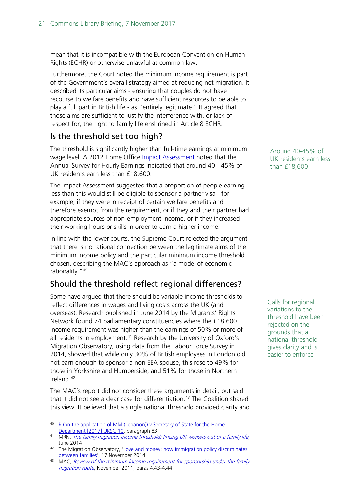mean that it is incompatible with the European Convention on Human Rights (ECHR) or otherwise unlawful at common law.

Furthermore, the Court noted the minimum income requirement is part of the Government's overall strategy aimed at reducing net migration. It described its particular aims - ensuring that couples do not have recourse to welfare benefits and have sufficient resources to be able to play a full part in British life - as "entirely legitimate". It agreed that those aims are sufficient to justify the interference with, or lack of respect for, the right to family life enshrined in Article 8 ECHR.

### Is the threshold set too high?

The threshold is significantly higher than full-time earnings at minimum wage level. A 2012 Home Office [Impact Assessment](https://www.gov.uk/government/uploads/system/uploads/attachment_data/file/257357/fam-impact-state.pdf) noted that the Annual Survey for Hourly Earnings indicated that around 40 - 45% of UK residents earn less than £18,600.

The Impact Assessment suggested that a proportion of people earning less than this would still be eligible to sponsor a partner visa - for example, if they were in receipt of certain welfare benefits and therefore exempt from the requirement, or if they and their partner had appropriate sources of non-employment income, or if they increased their working hours or skills in order to earn a higher income.

In line with the lower courts, the Supreme Court rejected the argument that there is no rational connection between the legitimate aims of the minimum income policy and the particular minimum income threshold chosen, describing the MAC's approach as "a model of economic rationality.<sup>"[40](#page-20-0)</sup>

## Should the threshold reflect regional differences?

Some have argued that there should be variable income thresholds to reflect differences in wages and living costs across the UK (and overseas). Research published in June 2014 by the Migrants' Rights Network found 74 parliamentary constituencies where the £18,600 income requirement was higher than the earnings of 50% or more of all residents in employment.<sup>[41](#page-20-1)</sup> Research by the University of Oxford's Migration Observatory, using data from the Labour Force Survey in 2014, showed that while only 30% of British employees in London did not earn enough to sponsor a non EEA spouse, this rose to 49% for those in Yorkshire and Humberside, and 51% for those in Northern Ireland.[42](#page-20-2) 

The MAC's report did not consider these arguments in detail, but said that it did not see a clear case for differentiation.<sup>[43](#page-20-3)</sup> The Coalition shared this view. It believed that a single national threshold provided clarity and Around 40-45% of UK residents earn less than £18,600

Calls for regional variations to the threshold have been rejected on the grounds that a national threshold gives clarity and is easier to enforce

<span id="page-20-0"></span><sup>&</sup>lt;sup>40</sup> R (on the application of MM (Lebanon)) v Secretary of State for the Home [Department \[2017\] UKSC 10,](https://www.supremecourt.uk/cases/docs/uksc-2015-0011-judgment.pdf) paragraph 83

<span id="page-20-1"></span><sup>41</sup> MRN, [The family migration income threshold: Pricing UK workers out of a family life](https://migrantsrights.org.uk/blog/2017/02/23/family-migration-income-threshold-pricing-uk-workers-family-life/), June 2014

<span id="page-20-2"></span><sup>&</sup>lt;sup>42</sup> The Migration Observatory, '<u>Love and money: how immigration policy discriminates</u><br>between families', 17 November 2014

<span id="page-20-3"></span><sup>&</sup>lt;sup>43</sup> MAC, Review of the minimum income requirement for sponsorship under the family [migration route](https://www.gov.uk/government/publications/migration-advisory-committee-income-for-family-migration-route), November 2011, paras 4.43-4.44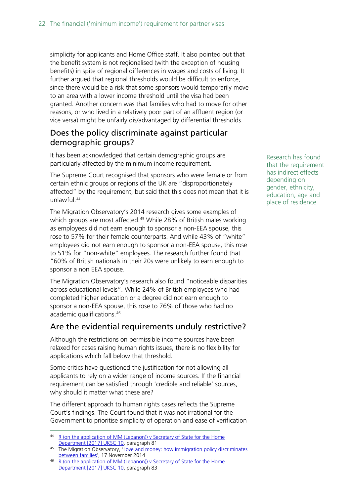simplicity for applicants and Home Office staff. It also pointed out that the benefit system is not regionalised (with the exception of housing benefits) in spite of regional differences in wages and costs of living. It further argued that regional thresholds would be difficult to enforce, since there would be a risk that some sponsors would temporarily move to an area with a lower income threshold until the visa had been granted. Another concern was that families who had to move for other reasons, or who lived in a relatively poor part of an affluent region (or vice versa) might be unfairly dis/advantaged by differential thresholds.

## Does the policy discriminate against particular demographic groups?

It has been acknowledged that certain demographic groups are particularly affected by the minimum income requirement.

The Supreme Court recognised that sponsors who were female or from certain ethnic groups or regions of the UK are "disproportionately affected" by the requirement, but said that this does not mean that it is unlawful.[44](#page-21-0)

The Migration Observatory's 2014 research gives some examples of which groups are most affected. [45](#page-21-1) While 28% of British males working as employees did not earn enough to sponsor a non-EEA spouse, this rose to 57% for their female counterparts. And while 43% of "white" employees did not earn enough to sponsor a non-EEA spouse, this rose to 51% for "non-white" employees. The research further found that "60% of British nationals in their 20s were unlikely to earn enough to sponsor a non EEA spouse.

The Migration Observatory's research also found "noticeable disparities across educational levels". While 24% of British employees who had completed higher education or a degree did not earn enough to sponsor a non-EEA spouse, this rose to 76% of those who had no academic qualifications.[46](#page-21-2)

### Are the evidential requirements unduly restrictive?

Although the restrictions on permissible income sources have been relaxed for cases raising human rights issues, there is no flexibility for applications which fall below that threshold.

Some critics have questioned the justification for not allowing all applicants to rely on a wider range of income sources. If the financial requirement can be satisfied through 'credible and reliable' sources, why should it matter what these are?

The different approach to human rights cases reflects the Supreme Court's findings. The Court found that it was not irrational for the Government to prioritise simplicity of operation and ease of verification Research has found that the requirement has indirect effects depending on gender, ethnicity, education, age and place of residence

<span id="page-21-0"></span>The Local Corporation of MM (Lebanon)) v Secretary of State for the Home<br><sup>44</sup> R (on the application of MM (Lebanon)) v Secretary of State for the Home [Department \[2017\] UKSC 10,](https://www.supremecourt.uk/cases/docs/uksc-2015-0011-judgment.pdf) paragraph 81

<span id="page-21-1"></span><sup>&</sup>lt;sup>45</sup> The Migration Observatory, 'Love and money: how immigration policy discriminates [between families'](http://migrationobservatory.ox.ac.uk/commentary/love-and-money-how-immigration-policy-discriminates-between-families), 17 November 2014

<span id="page-21-2"></span><sup>&</sup>lt;sup>46</sup> R (on the application of MM (Lebanon)) v Secretary of State for the Home [Department \[2017\] UKSC 10,](https://www.supremecourt.uk/cases/docs/uksc-2015-0011-judgment.pdf) paragraph 83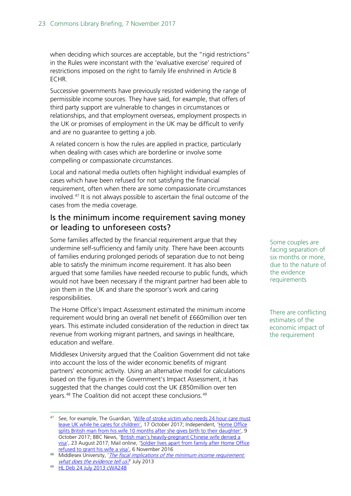when deciding which sources are acceptable, but the "rigid restrictions" in the Rules were inconstant with the 'evaluative exercise' required of restrictions imposed on the right to family life enshrined in Article 8 ECHR.

Successive governments have previously resisted widening the range of permissible income sources. They have said, for example, that offers of third party support are vulnerable to changes in circumstances or relationships, and that employment overseas, employment prospects in the UK or promises of employment in the UK may be difficult to verify and are no guarantee to getting a job.

A related concern is how the rules are applied in practice, particularly when dealing with cases which are borderline or involve some compelling or compassionate circumstances.

Local and national media outlets often highlight individual examples of cases which have been refused for not satisfying the financial requirement, often when there are some compassionate circumstances involved.[47](#page-22-0) It is not always possible to ascertain the final outcome of the cases from the media coverage.

### Is the minimum income requirement saving money or leading to unforeseen costs?

Some families affected by the financial requirement argue that they undermine self-sufficiency and family unity. There have been accounts of families enduring prolonged periods of separation due to not being able to satisfy the minimum income requirement. It has also been argued that some families have needed recourse to public funds, which would not have been necessary if the migrant partner had been able to join them in the UK and share the sponsor's work and caring responsibilities.

The Home Office's Impact Assessment estimated the minimum income requirement would bring an overall net benefit of £660million over ten years. This estimate included consideration of the reduction in direct tax revenue from working migrant partners, and savings in healthcare, education and welfare.

Middlesex University argued that the Coalition Government did not take into account the loss of the wider economic benefits of migrant partners' economic activity. Using an alternative model for calculations based on the figures in the Government's Impact Assessment, it has suggested that the changes could cost the UK £850million over ten years.<sup>48</sup> The Coalition did not accept these conclusions.<sup>[49](#page-22-2)</sup>

Some couples are facing separation of six months or more, due to the nature of the evidence requirements

There are conflicting estimates of the economic impact of the requirement

<span id="page-22-0"></span><sup>&</sup>lt;sup>47</sup> See, for example, The Guardian, 'Wife of stroke victim who needs 24 hour care must [leave UK while he cares for children',](https://www.theguardian.com/uk-news/2017/oct/17/wife-of-stroke-victim-who-needs-24hr-care-must-leave-uk-while-he-cares-for-children) 17 October 2017; Independent, 'Home Office [splits British man from his wife 10 months after she gives birth to their daughter',](http://www.independent.co.uk/news/uk/home-news/dan-newton-carla-zamora-home-office-immigration-wife-blocked-abu-dhabi-despite-child-a7990816.html) 9 October 2017; BBC News, 'British man's heavily-pregnant Chinese wife denied a [visa'](http://www.bbc.co.uk/news/uk-england-beds-bucks-herts-41012762), 23 August 2017; Mail online, 'Soldier lives apart from family after Home Office [refused to grant his wife a visa',](http://www.dailymail.co.uk/news/article-3910540/Solider-lives-apart-family-Home-Office-refused-grant-wife-visa.html) 6 November 2016

<span id="page-22-1"></span><sup>48</sup> Middlesex University, '*The fiscal implications of the minimum income requirement:* [what does the evidence tell us?](http://www.migrantsrights.org.uk/files/news/Family_migration_costs_briefing-9-7-2013.pdf) July 2013

<span id="page-22-2"></span><sup>49</sup> [HL Deb 24 July 2013 cWA248](http://www.publications.parliament.uk/pa/ld201314/ldhansrd/text/130724w0001.htm#13072447000570)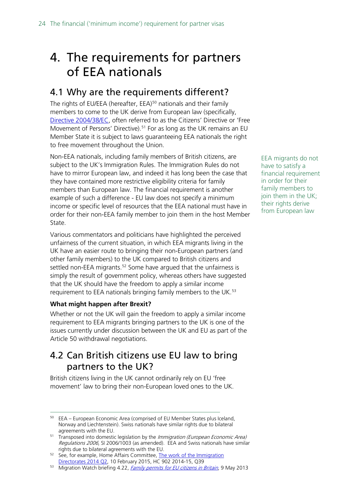## <span id="page-23-0"></span>4. The requirements for partners of EEA nationals

## <span id="page-23-1"></span>4.1 Why are the requirements different?

The rights of EU/EEA (hereafter, EEA)<sup>[50](#page-23-3)</sup> nationals and their family members to come to the UK derive from European law (specifically, [Directive 2004/38/EC,](http://eur-lex.europa.eu/LexUriServ/LexUriServ.do?uri=OJ:L:2004:158:0077:0123:en:PDF) often referred to as the Citizens' Directive or 'Free Movement of Persons' Directive).<sup>[51](#page-23-4)</sup> For as long as the UK remains an EU Member State it is subject to laws guaranteeing EEA nationals the right to free movement throughout the Union.

Non-EEA nationals, including family members of British citizens, are subject to the UK's Immigration Rules. The Immigration Rules do not have to mirror European law, and indeed it has long been the case that they have contained more restrictive eligibility criteria for family members than European law. The financial requirement is another example of such a difference - EU law does not specify a minimum income or specific level of resources that the EEA national must have in order for their non-EEA family member to join them in the host Member State.

Various commentators and politicians have highlighted the perceived unfairness of the current situation, in which EEA migrants living in the UK have an easier route to bringing their non-European partners (and other family members) to the UK compared to British citizens and settled non-EEA migrants.<sup>[52](#page-23-5)</sup> Some have argued that the unfairness is simply the result of government policy, whereas others have suggested that the UK should have the freedom to apply a similar income requirement to EEA nationals bringing family members to the UK.<sup>[53](#page-23-6)</sup>

#### **What might happen after Brexit?**

Whether or not the UK will gain the freedom to apply a similar income requirement to EEA migrants bringing partners to the UK is one of the issues currently under discussion between the UK and EU as part of the Article 50 withdrawal negotiations.

## <span id="page-23-2"></span>4.2 Can British citizens use EU law to bring partners to the UK?

British citizens living in the UK cannot ordinarily rely on EU 'free movement' law to bring their non-European loved ones to the UK. EEA migrants do not have to satisfy a financial requirement in order for their family members to join them in the UK; their rights derive from European law

<span id="page-23-3"></span> <sup>50</sup> EEA – European Economic Area (comprised of EU Member States plus Iceland, Norway and Liechtenstein). Swiss nationals have similar rights due to bilateral agreements with the EU.

<span id="page-23-4"></span> $51$  Transposed into domestic legislation by the *Immigration (European Economic Area)* Regulations 2006, SI 2006/1003 (as amended). EEA and Swiss nationals have similar rights due to bilateral agreements with the EU.

<span id="page-23-5"></span><sup>&</sup>lt;sup>52</sup> See, for example, Home Affairs Committee, The work of the Immigration [Directorates](http://data.parliament.uk/writtenevidence/committeeevidence.svc/evidencedocument/home-affairs-committee/the-work-of-the-immigration-directorates-2014-q3/oral/18071.pdf) 2014 Q2, 10 February 2015, HC 902 2014-15, Q39

<span id="page-23-6"></span><sup>53</sup> Migration Watch briefing 4.22, *[Family permits for EU citizens in Britain](http://www.migrationwatchuk.co.uk/briefingPaper/document/298)*, 9 May 2013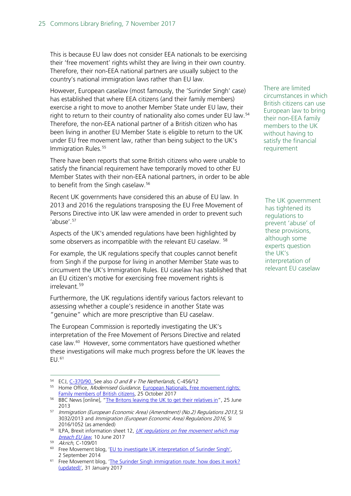This is because EU law does not consider EEA nationals to be exercising their 'free movement' rights whilst they are living in their own country. Therefore, their non-EEA national partners are usually subject to the country's national immigration laws rather than EU law.

However, European caselaw (most famously, the 'Surinder Singh' case) has established that where EEA citizens (and their family members) exercise a right to move to another Member State under EU law, their right to return to their country of nationality also comes under EU law.<sup>[54](#page-24-0)</sup> Therefore, the non-EEA national partner of a British citizen who has been living in another EU Member State is eligible to return to the UK under EU free movement law, rather than being subject to the UK's Immigration Rules.<sup>[55](#page-24-1)</sup>

There have been reports that some British citizens who were unable to satisfy the financial requirement have temporarily moved to other EU Member States with their non-EEA national partners, in order to be able to benefit from the Singh caselaw.<sup>56</sup>

Recent UK governments have considered this an abuse of EU law. In 2013 and 2016 the regulations transposing the EU Free Movement of Persons Directive into UK law were amended in order to prevent such 'abuse'.<sup>[57](#page-24-3)</sup>

Aspects of the UK's amended regulations have been highlighted by some observers as incompatible with the relevant EU caselaw. <sup>[58](#page-24-4)</sup>

For example, the UK regulations specify that couples cannot benefit from Singh if the purpose for living in another Member State was to circumvent the UK's Immigration Rules. EU caselaw has stablished that an EU citizen's motive for exercising free movement rights is irrelevant.[59](#page-24-5)

Furthermore, the UK regulations identify various factors relevant to assessing whether a couple's residence in another State was "genuine" which are more prescriptive than EU caselaw.

The European Commission is reportedly investigating the UK's interpretation of the Free Movement of Persons Directive and related case law. [60](#page-24-6) However, some commentators have questioned whether these investigations will make much progress before the UK leaves the EU. [61](#page-24-7)

There are limited circumstances in which British citizens can use European law to bring their non-EEA family members to the UK without having to satisfy the financial requirement

The UK government has tightened its regulations to prevent 'abuse' of these provisions, although some experts question the UK's interpretation of relevant EU caselaw

<span id="page-24-0"></span><sup>&</sup>lt;sup>54</sup> ECJ, [C-370/90.](http://eur-lex.europa.eu/smartapi/cgi/sga_doc?smartapi!celexplus!prod!CELEXnumdoc&numdoc=61990J0370&lg=en) See also *O and B v The Netherlands*, C-456/12

<span id="page-24-1"></span><sup>55</sup> Home Office, Modernised Guidance, European Nationals, Free movement rights: [Family members of British citizens,](https://www.gov.uk/government/publications/free-movement-rights-family-members-of-british-citizens) 25 October 2017

<span id="page-24-2"></span><sup>56</sup> BBC News [online], ["The Britons leaving the UK to get their relatives in"](http://www.bbc.co.uk/news/uk-23029195), 25 June 2013

<span id="page-24-3"></span><sup>57</sup> Immigration (European Economic Area) (Amendment) (No.2) Regulations 2013, SI 3032/2013 and Immigration (European Economic Area) Regulations 2016, SI 2016/1052 (as amended)

<span id="page-24-4"></span><sup>&</sup>lt;sup>58</sup> ILPA, Brexit information sheet 12, *UK regulations on free movement which may [breach EU law](http://www.ilpa.org.uk/resource/33380/information-sheet-brexit-12-uk-regulations-on-free-movement-that-may-breach-eu-law)*, 10 June 2017

<span id="page-24-5"></span><sup>59</sup> Akrich, C-109/01

<span id="page-24-6"></span><sup>&</sup>lt;sup>60</sup> Free Movement blog, 'EU to investigate UK interpretation of Surinder Singh', 2 September 2014

<span id="page-24-7"></span><sup>&</sup>lt;sup>61</sup> Free Movement blog, 'The Surinder Singh immigration route: how does it work? [\(updated\)',](https://www.freemovement.org.uk/surinder-singh-immigration-route/) 31 January 2017